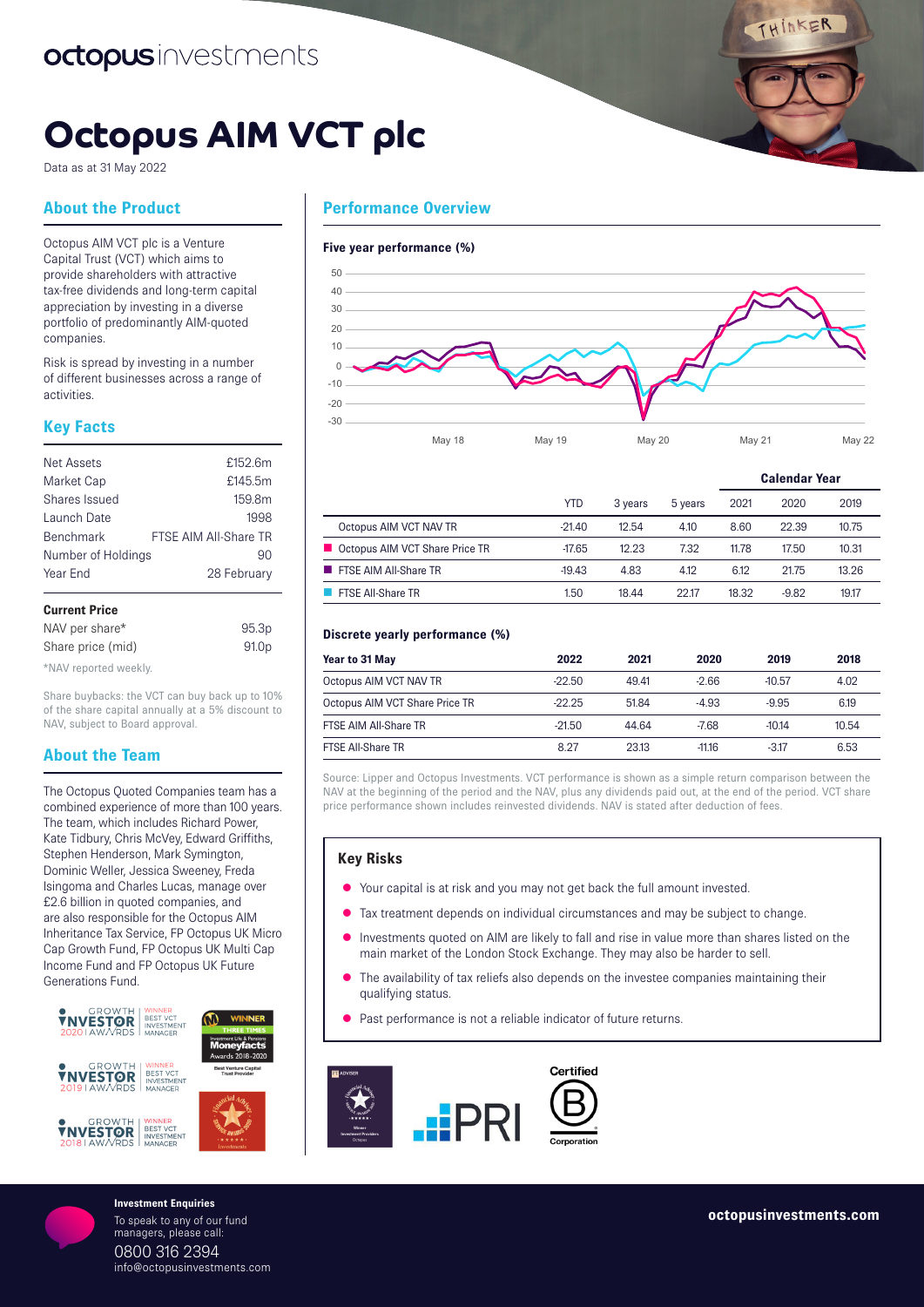THINKER

# **Octopus AIM VCT plc**

Data as at 31 May 2022

# **About the Product**

Octopus AIM VCT plc is a Venture Capital Trust (VCT) which aims to provide shareholders with attractive tax-free dividends and long-term capital appreciation by investing in a diverse portfolio of predominantly AIM-quoted companies.

Risk is spread by investing in a number of different businesses across a range of activities.

# **Key Facts**

| Curront Drico      |                       |
|--------------------|-----------------------|
| Year End           | 28 February           |
| Number of Holdings | 90                    |
| <b>Benchmark</b>   | FTSE AIM All-Share TR |
| Launch Date        | 1998                  |
| Shares Issued      | 159.8m                |
| Market Cap         | £145.5m               |
| <b>Net Assets</b>  | £152.6m               |
|                    |                       |

| <b>VAILVIIL LIUV</b> |                   |
|----------------------|-------------------|
| NAV per share*       | 95.3 <sub>p</sub> |
| Share price (mid)    | 91.0 <sub>p</sub> |

\*NAV reported weekly.

Share buybacks: the VCT can buy back up to 10% of the share capital annually at a 5% discount to NAV, subject to Board approval.

# **About the Team**

The Octopus Quoted Companies team has a combined experience of more than 100 years. The team, which includes Richard Power, Kate Tidbury, Chris McVey, Edward Griffiths, Stephen Henderson, Mark Symington, Dominic Weller, Jessica Sweeney, Freda Isingoma and Charles Lucas, manage over £2.6 billion in quoted companies, and are also responsible for the Octopus AIM Inheritance Tax Service, FP Octopus UK Micro Cap Growth Fund, FP Octopus UK Multi Cap Income Fund and FP Octopus UK Future Generations Fund.



To speak to any of our fund managers, please call: 0800 316 2394 info@octopusinvestments.com



#### **Five year performance (%)**



|                                  |            |         |         | <b>Calendar Year</b> |         |       |
|----------------------------------|------------|---------|---------|----------------------|---------|-------|
|                                  | <b>YTD</b> | 3 years | 5 years | 2021                 | 2020    | 2019  |
| Octopus AIM VCT NAV TR           | $-21.40$   | 12.54   | 4.10    | 8.60                 | 22.39   | 10.75 |
| ■ Octopus AIM VCT Share Price TR | $-17.65$   | 12.23   | 7.32    | 11.78                | 17.50   | 10.31 |
| <b>FISE AIM AII-Share TR</b>     | $-19.43$   | 4.83    | 4.12    | 6.12                 | 21.75   | 13.26 |
| <b>FISE All-Share TR</b>         | 1.50       | 18.44   | 22.17   | 18.32                | $-9.82$ | 19.17 |

### **Discrete yearly performance (%)**

| Year to 31 May                 | 2022     | 2021  | 2020     | 2019     | 2018  |
|--------------------------------|----------|-------|----------|----------|-------|
| Octopus AIM VCT NAV TR         | $-22.50$ | 49.41 | $-2.66$  | $-10.57$ | 4.02  |
| Octopus AIM VCT Share Price TR | $-22.25$ | 51.84 | $-4.93$  | $-9.95$  | 6.19  |
| FTSE AIM All-Share TR          | $-21.50$ | 44 64 | $-7.68$  | $-1014$  | 10.54 |
| <b>FTSE All-Share TR</b>       | 8.27     | 23.13 | $-11.16$ | $-317$   | 6.53  |

Source: Lipper and Octopus Investments. VCT performance is shown as a simple return comparison between the NAV at the beginning of the period and the NAV, plus any dividends paid out, at the end of the period. VCT share price performance shown includes reinvested dividends. NAV is stated after deduction of fees.

## **Key Risks**

- $\bullet$  Your capital is at risk and you may not get back the full amount invested.
- Tax treatment depends on individual circumstances and may be subject to change.
- Investments quoted on AIM are likely to fall and rise in value more than shares listed on the main market of the London Stock Exchange. They may also be harder to sell.
- The availability of tax reliefs also depends on the investee companies maintaining their qualifying status.
- Past performance is not a reliable indicator of future returns.